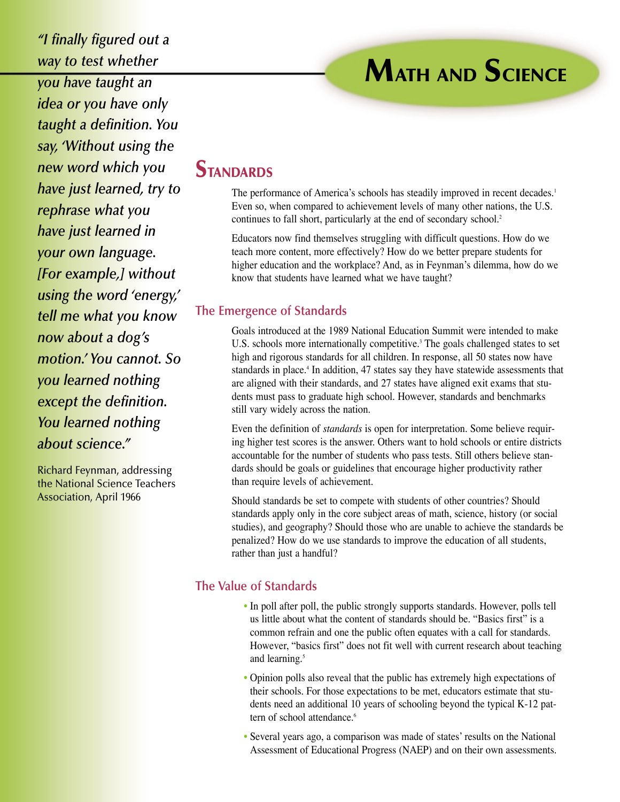# **MATH AND SCIENCE**

*you have taught an idea or you have only taught a definition. You say, 'Without using the new word which you have just learned, try to rephrase what you have just learned in your own language. [For example,] without using the word 'energy,' tell me what you know now about a dog's motion.' You cannot. So you learned nothing except the definition. You learned nothing about science."*

*"I finally figured out a*

*way to test whether*

Richard Feynman, addressing the National Science Teachers Association, April 1966

## **STANDARDS**

The performance of America's schools has steadily improved in recent decades.<sup>1</sup> Even so, when compared to achievement levels of many other nations, the U.S. continues to fall short, particularly at the end of secondary school.<sup>2</sup>

Educators now find themselves struggling with difficult questions. How do we teach more content, more effectively? How do we better prepare students for higher education and the workplace? And, as in Feynman's dilemma, how do we know that students have learned what we have taught?

#### **The Emergence of Standards**

Goals introduced at the 1989 National Education Summit were intended to make U.S. schools more internationally competitive.<sup>3</sup> The goals challenged states to set high and rigorous standards for all children. In response, all 50 states now have standards in place.<sup>4</sup> In addition, 47 states say they have statewide assessments that are aligned with their standards, and 27 states have aligned exit exams that students must pass to graduate high school. However, standards and benchmarks still vary widely across the nation.

Even the definition of *standards* is open for interpretation. Some believe requiring higher test scores is the answer. Others want to hold schools or entire districts accountable for the number of students who pass tests. Still others believe standards should be goals or guidelines that encourage higher productivity rather than require levels of achievement.

Should standards be set to compete with students of other countries? Should standards apply only in the core subject areas of math, science, history (or social studies), and geography? Should those who are unable to achieve the standards be penalized? How do we use standards to improve the education of all students, rather than just a handful?

#### **The Value of Standards**

- In poll after poll, the public strongly supports standards. However, polls tell us little about what the content of standards should be. "Basics first" is a common refrain and one the public often equates with a call for standards. However, "basics first" does not fit well with current research about teaching and learning.<sup>5</sup>
- Opinion polls also reveal that the public has extremely high expectations of their schools. For those expectations to be met, educators estimate that students need an additional 10 years of schooling beyond the typical K-12 pattern of school attendance.<sup>6</sup>
- Several years ago, a comparison was made of states' results on the National Assessment of Educational Progress (NAEP) and on their own assessments.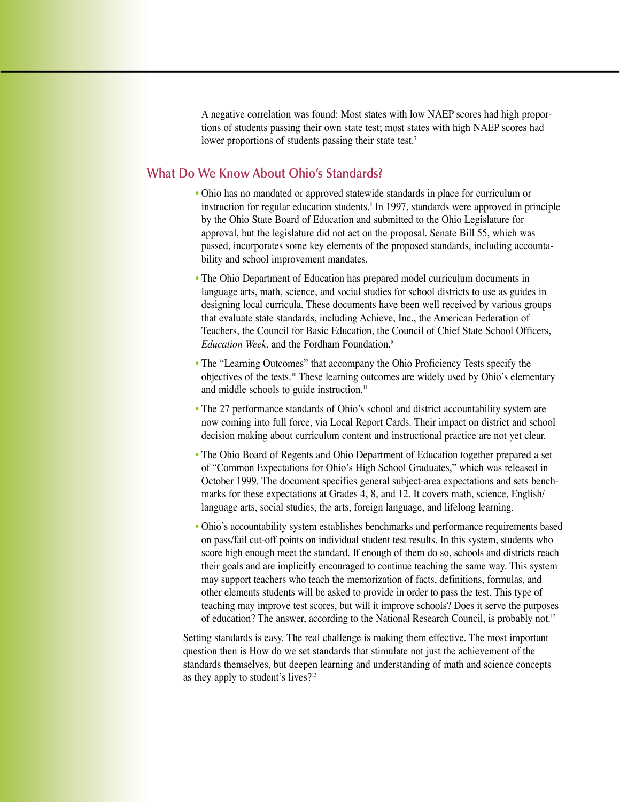A negative correlation was found: Most states with low NAEP scores had high proportions of students passing their own state test; most states with high NAEP scores had lower proportions of students passing their state test.<sup>7</sup>

### **What Do We Know About Ohio's Standards?**

- Ohio has no mandated or approved statewide standards in place for curriculum or instruction for regular education students.<sup>8</sup> In 1997, standards were approved in principle by the Ohio State Board of Education and submitted to the Ohio Legislature for approval, but the legislature did not act on the proposal. Senate Bill 55, which was passed, incorporates some key elements of the proposed standards, including accountability and school improvement mandates.
- The Ohio Department of Education has prepared model curriculum documents in language arts, math, science, and social studies for school districts to use as guides in designing local curricula. These documents have been well received by various groups that evaluate state standards, including Achieve, Inc., the American Federation of Teachers, the Council for Basic Education, the Council of Chief State School Officers, *Education Week,* and the Fordham Foundation.<sup>9</sup>
- The "Learning Outcomes" that accompany the Ohio Proficiency Tests specify the objectives of the tests.10 These learning outcomes are widely used by Ohio's elementary and middle schools to guide instruction.<sup>11</sup>
- The 27 performance standards of Ohio's school and district accountability system are now coming into full force, via Local Report Cards. Their impact on district and school decision making about curriculum content and instructional practice are not yet clear.
- The Ohio Board of Regents and Ohio Department of Education together prepared a set of "Common Expectations for Ohio's High School Graduates," which was released in October 1999. The document specifies general subject-area expectations and sets benchmarks for these expectations at Grades 4, 8, and 12. It covers math, science, English/ language arts, social studies, the arts, foreign language, and lifelong learning.
- Ohio's accountability system establishes benchmarks and performance requirements based on pass/fail cut-off points on individual student test results. In this system, students who score high enough meet the standard. If enough of them do so, schools and districts reach their goals and are implicitly encouraged to continue teaching the same way. This system may support teachers who teach the memorization of facts, definitions, formulas, and other elements students will be asked to provide in order to pass the test. This type of teaching may improve test scores, but will it improve schools? Does it serve the purposes of education? The answer, according to the National Research Council, is probably not.<sup>12</sup>

Setting standards is easy. The real challenge is making them effective. The most important question then is How do we set standards that stimulate not just the achievement of the standards themselves, but deepen learning and understanding of math and science concepts as they apply to student's lives?13